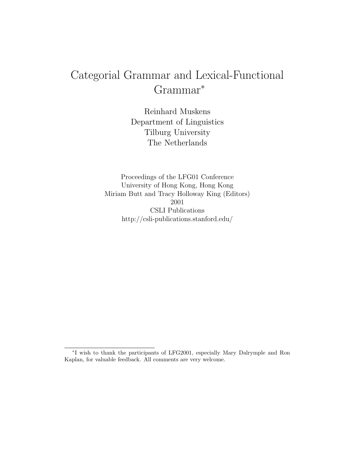# Categorial Grammar and Lexical-Functional Grammar<sup>∗</sup>

Reinhard Muskens Department of Linguistics Tilburg University The Netherlands

Proceedings of the LFG01 Conference University of Hong Kong, Hong Kong Miriam Butt and Tracy Holloway King (Editors) 2001 CSLI Publications http://csli-publications.stanford.edu/

<sup>∗</sup> I wish to thank the participants of LFG2001, especially Mary Dalrymple and Ron Kaplan, for valuable feedback. All comments are very welcome.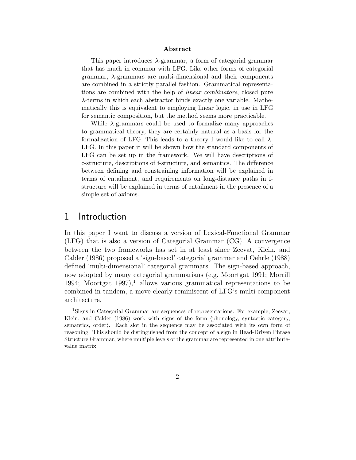#### Abstract

This paper introduces  $\lambda$ -grammar, a form of categorial grammar that has much in common with LFG. Like other forms of categorial grammar,  $\lambda$ -grammars are multi-dimensional and their components are combined in a strictly parallel fashion. Grammatical representations are combined with the help of linear combinators, closed pure λ-terms in which each abstractor binds exactly one variable. Mathematically this is equivalent to employing linear logic, in use in LFG for semantic composition, but the method seems more practicable.

While  $\lambda$ -grammars could be used to formalize many approaches to grammatical theory, they are certainly natural as a basis for the formalization of LFG. This leads to a theory I would like to call  $\lambda$ -LFG. In this paper it will be shown how the standard components of LFG can be set up in the framework. We will have descriptions of c-structure, descriptions of f-structure, and semantics. The difference between defining and constraining information will be explained in terms of entailment, and requirements on long-distance paths in fstructure will be explained in terms of entailment in the presence of a simple set of axioms.

### 1 Introduction

In this paper I want to discuss a version of Lexical-Functional Grammar (LFG) that is also a version of Categorial Grammar (CG). A convergence between the two frameworks has set in at least since Zeevat, Klein, and Calder (1986) proposed a 'sign-based' categorial grammar and Oehrle (1988) defined 'multi-dimensional' categorial grammars. The sign-based approach, now adopted by many categorial grammarians (e.g. Moortgat 1991; Morrill 1994; Moortgat 1997),<sup>1</sup> allows various grammatical representations to be combined in tandem, a move clearly reminiscent of LFG's multi-component architecture.

<sup>1</sup>Signs in Categorial Grammar are sequences of representations. For example, Zeevat, Klein, and Calder  $(1986)$  work with signs of the form  $\phi$ honology, syntactic category, semantics, order). Each slot in the sequence may be associated with its own form of reasoning. This should be distinguished from the concept of a sign in Head-Driven Phrase Structure Grammar, where multiple levels of the grammar are represented in one attributevalue matrix.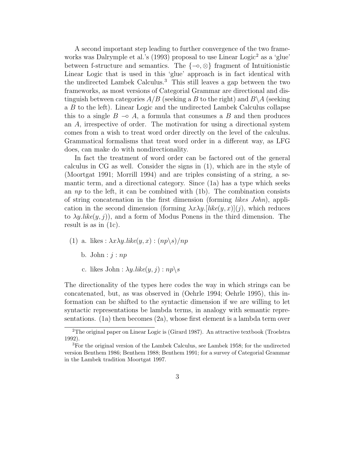A second important step leading to further convergence of the two frameworks was Dalrymple et al.'s (1993) proposal to use Linear Logic<sup>2</sup> as a 'glue' between f-structure and semantics. The {−◦, ⊗} fragment of Intuitionistic Linear Logic that is used in this 'glue' approach is in fact identical with the undirected Lambek Calculus.<sup>3</sup> This still leaves a gap between the two frameworks, as most versions of Categorial Grammar are directional and distinguish between categories  $A/B$  (seeking a B to the right) and  $B\setminus A$  (seeking a B to the left). Linear Logic and the undirected Lambek Calculus collapse this to a single  $B \to A$ , a formula that consumes a B and then produces an A, irrespective of order. The motivation for using a directional system comes from a wish to treat word order directly on the level of the calculus. Grammatical formalisms that treat word order in a different way, as LFG does, can make do with nondirectionality.

In fact the treatment of word order can be factored out of the general calculus in CG as well. Consider the signs in (1), which are in the style of (Moortgat 1991; Morrill 1994) and are triples consisting of a string, a semantic term, and a directional category. Since (1a) has a type which seeks an  $np$  to the left, it can be combined with (1b). The combination consists of string concatenation in the first dimension (forming likes John), application in the second dimension (forming  $\lambda x \lambda y$ . [like(y, x)](j), which reduces to  $\lambda y$ .like $(y, j)$ , and a form of Modus Ponens in the third dimension. The result is as in (1c).

- (1) a. likes :  $\lambda x \lambda y$ .like $(y, x)$  :  $(np \backslash s) / np$ 
	- b. John :  $j : np$
	- c. likes John :  $\lambda y$ .like $(y, j)$  :  $np \backslash s$

The directionality of the types here codes the way in which strings can be concatenated, but, as was observed in (Oehrle 1994; Oehrle 1995), this information can be shifted to the syntactic dimension if we are willing to let syntactic representations be lambda terms, in analogy with semantic representations. (1a) then becomes (2a), whose first element is a lambda term over

<sup>&</sup>lt;sup>2</sup>The original paper on Linear Logic is (Girard 1987). An attractive textbook (Troelstra 1992).

<sup>3</sup>For the original version of the Lambek Calculus, see Lambek 1958; for the undirected version Benthem 1986; Benthem 1988; Benthem 1991; for a survey of Categorial Grammar in the Lambek tradition Moortgat 1997.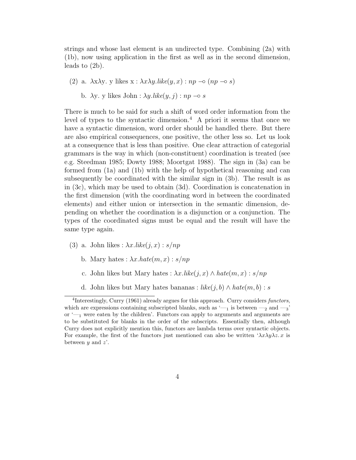strings and whose last element is an undirected type. Combining (2a) with (1b), now using application in the first as well as in the second dimension, leads to (2b).

(2) a.  $\lambda x \lambda y$ . y likes  $x : \lambda x \lambda y$ .like $(y, x) : np \to (np \to s)$ 

b.  $\lambda$ y. y likes John :  $\lambda$ y.like $(y, j)$  :  $np \to s$ 

There is much to be said for such a shift of word order information from the level of types to the syntactic dimension.<sup>4</sup> A priori it seems that once we have a syntactic dimension, word order should be handled there. But there are also empirical consequences, one positive, the other less so. Let us look at a consequence that is less than positive. One clear attraction of categorial grammars is the way in which (non-constituent) coordination is treated (see e.g. Steedman 1985; Dowty 1988; Moortgat 1988). The sign in (3a) can be formed from (1a) and (1b) with the help of hypothetical reasoning and can subsequently be coordinated with the similar sign in (3b). The result is as in (3c), which may be used to obtain (3d). Coordination is concatenation in the first dimension (with the coordinating word in between the coordinated elements) and either union or intersection in the semantic dimension, depending on whether the coordination is a disjunction or a conjunction. The types of the coordinated signs must be equal and the result will have the same type again.

- (3) a. John likes :  $\lambda x.$ *like* $(j, x)$  :  $s/np$ 
	- b. Mary hates :  $\lambda x. \textit{hate}(m, x) : s/np$
	- c. John likes but Mary hates :  $\lambda x.$ *like* $(j, x) \wedge hate(m, x) : s/np$
	- d. John likes but Mary hates bananas :  $like(j, b) \wedge hate(m, b) : s$

<sup>&</sup>lt;sup>4</sup>Interestingly, Curry (1961) already argues for this approach. Curry considers functors, which are expressions containing subscripted blanks, such as  $\leftarrow$ <sub>1</sub> is between  $\leftarrow$ <sub>2</sub> and  $\leftarrow$ <sub>3</sub>' or  $\leftarrow$  were eaten by the children'. Functors can apply to arguments and arguments are to be substituted for blanks in the order of the subscripts. Essentially then, although Curry does not explicitly mention this, functors are lambda terms over syntactic objects. For example, the first of the functors just mentioned can also be written  $\lambda x \lambda y \lambda z$ . x is between  $y$  and  $z'$ .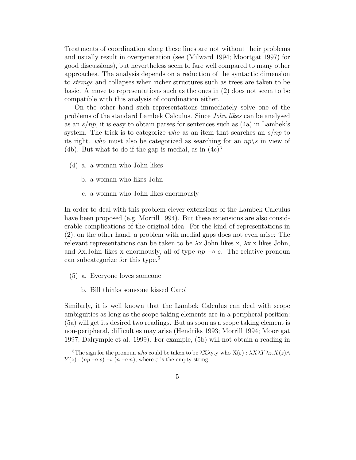Treatments of coordination along these lines are not without their problems and usually result in overgeneration (see (Milward 1994; Moortgat 1997) for good discussions), but nevertheless seem to fare well compared to many other approaches. The analysis depends on a reduction of the syntactic dimension to strings and collapses when richer structures such as trees are taken to be basic. A move to representations such as the ones in (2) does not seem to be compatible with this analysis of coordination either.

On the other hand such representations immediately solve one of the problems of the standard Lambek Calculus. Since John likes can be analysed as an  $s(np)$ , it is easy to obtain parses for sentences such as  $(4a)$  in Lambek's system. The trick is to categorize who as an item that searches an  $s/np$  to its right. who must also be categorized as searching for an  $np \backslash s$  in view of (4b). But what to do if the gap is medial, as in (4c)?

- (4) a. a woman who John likes
	- b. a woman who likes John
	- c. a woman who John likes enormously

In order to deal with this problem clever extensions of the Lambek Calculus have been proposed (e.g. Morrill 1994). But these extensions are also considerable complications of the original idea. For the kind of representations in (2), on the other hand, a problem with medial gaps does not even arise: The relevant representations can be taken to be  $\lambda$ x. John likes x,  $\lambda$ x.x likes John, and  $\lambda$ x.John likes x enormously, all of type  $np \to s$ . The relative pronoun can subcategorize for this type.<sup>5</sup>

- (5) a. Everyone loves someone
	- b. Bill thinks someone kissed Carol

Similarly, it is well known that the Lambek Calculus can deal with scope ambiguities as long as the scope taking elements are in a peripheral position: (5a) will get its desired two readings. But as soon as a scope taking element is non-peripheral, difficulties may arise (Hendriks 1993; Morrill 1994; Moortgat 1997; Dalrymple et al. 1999). For example, (5b) will not obtain a reading in

<sup>&</sup>lt;sup>5</sup>The sign for the pronoun who could be taken to be  $\lambda$ X $\lambda$ y.y who  $X(\varepsilon)$ :  $\lambda$ X $\lambda$ Y $\lambda$ z. $X(\varepsilon)$  $\wedge$  $Y(z)$ :  $(np \multimap s) \multimap (n \multimap n)$ , where  $\varepsilon$  is the empty string.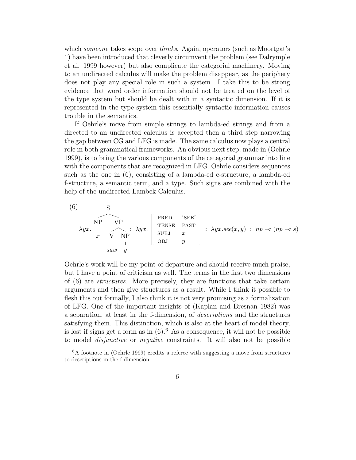which *someone* takes scope over *thinks*. Again, operators (such as Moortgat's ↑) have been introduced that cleverly circumvent the problem (see Dalrymple et al. 1999 however) but also complicate the categorial machinery. Moving to an undirected calculus will make the problem disappear, as the periphery does not play any special role in such a system. I take this to be strong evidence that word order information should not be treated on the level of the type system but should be dealt with in a syntactic dimension. If it is represented in the type system this essentially syntactic information causes trouble in the semantics.

If Oehrle's move from simple strings to lambda-ed strings and from a directed to an undirected calculus is accepted then a third step narrowing the gap between CG and LFG is made. The same calculus now plays a central role in both grammatical frameworks. An obvious next step, made in (Oehrle 1999), is to bring the various components of the categorial grammar into line with the components that are recognized in LFG. Oehrle considers sequences such as the one in (6), consisting of a lambda-ed c-structure, a lambda-ed f-structure, a semantic term, and a type. Such signs are combined with the help of the undirected Lambek Calculus.

(6)  
\n
$$
\begin{array}{c}\n\text{NP} \\
\text{N} \text{P} \\
x \\
y \\
y\n\end{array}
$$
\n
$$
\text{NP} \\
\text{V} \text{P} \\
\text{P} \\
\text{SUBJ} \\
\text{SUBJ} \\
y\n\end{array}
$$
\n
$$
\text{P} \\
\text{R} \\
\text{P}} \\
\text{P} \\
\text{SCE} \\
\text{PAST} \\
\text{P} \\
\text{SCE} \\
\text{PAST} \\
\text{SUEJ} \\
y\n\end{array}
$$
\n
$$
\text{P} \\
\text{P} \\
\text{SCE} \\
\text{P} \\
\text{SCE} \\
\text{P} \\
\text{SCE} \\
\text{P} \\
\text{SCE} \\
\text{P} \\
\text{SCE} \\
\text{P} \\
\text{SCE} \\
\text{P} \\
\text{SCE} \\
\text{P} \\
\text{SCE} \\
\text{P} \\
\text{SCE} \\
\text{P} \\
\text{SCE} \\
\text{P} \\
\text{SCE} \\
\text{P} \\
\text{SCE} \\
\text{P} \\
\text{SCE} \\
\text{P} \\
\text{SCE} \\
\text{P} \\
\text{SCE} \\
\text{P} \\
\text{SCE} \\
\text{P} \\
\text{SCE} \\
\text{P} \\
\text{SCE} \\
\text{P} \\
\text{SCE} \\
\text{P} \\
\text{SCE} \\
\text{P} \\
\text{SCE} \\
\text{P} \\
\text{SCE} \\
\text{P} \\
\text{SCE} \\
\text{P} \\
\text{SCE} \\
\text{P} \\
\text{SCE} \\
\text{P} \\
\text{SCE} \\
\text{P} \\
\text{SCE} \\
\text{P} \\
\text{SCE} \\
\text{P} \\
\text{SCE} \\
\text{P} \\
\text{SCE} \\
\text{P} \\
\text{SCE} \\
\text{P} \\
\text{SCE} \\
\text{P} \\
\text{SCE} \\
\text{P} \\
\text{SCE} \\
\text{P} \\
\text{SCE} \\
\text{P} \\
\text{SCE} \\
\text{P} \\
\text{SCE} \\
\text{P} \\
\text{SCE} \\
\text{P} \\
\text{SCE} \\
\text{P} \\
\text{SCE} \\
\text{P} \\
\text{SCE} \\
\text{P} \\
\text{SCE} \\
\text{P} \\
\text{SCE} \\
\text{P} \\
\text{S
$$

Oehrle's work will be my point of departure and should receive much praise, but I have a point of criticism as well. The terms in the first two dimensions of (6) are structures. More precisely, they are functions that take certain arguments and then give structures as a result. While I think it possible to flesh this out formally, I also think it is not very promising as a formalization of LFG. One of the important insights of (Kaplan and Bresnan 1982) was a separation, at least in the f-dimension, of descriptions and the structures satisfying them. This distinction, which is also at the heart of model theory, is lost if signs get a form as in  $(6)$ .<sup>6</sup> As a consequence, it will not be possible to model disjunctive or negative constraints. It will also not be possible

<sup>6</sup>A footnote in (Oehrle 1999) credits a referee with suggesting a move from structures to descriptions in the f-dimension.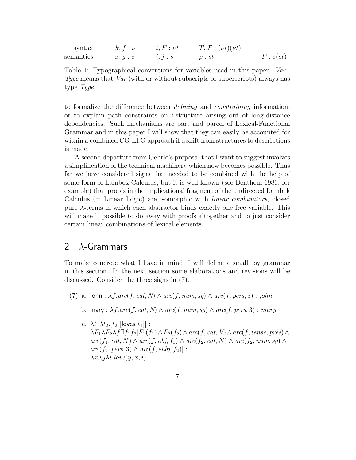| syntax:    | $k, t : \nu$ | $t, F: \nu t$ | $T, \mathcal{F}: (\nu t)(\nu t)$ |          |
|------------|--------------|---------------|----------------------------------|----------|
| semantics: | x, y : e     | i, j : s      | p:st                             | P: e(st) |

Table 1: Typographical conventions for variables used in this paper. Var : Type means that Var (with or without subscripts or superscripts) always has type Type.

to formalize the difference between defining and constraining information, or to explain path constraints on f-structure arising out of long-distance dependencies. Such mechanisms are part and parcel of Lexical-Functional Grammar and in this paper I will show that they can easily be accounted for within a combined CG-LFG approach if a shift from structures to descriptions is made.

A second departure from Oehrle's proposal that I want to suggest involves a simplification of the technical machinery which now becomes possible. Thus far we have considered signs that needed to be combined with the help of some form of Lambek Calculus, but it is well-known (see Benthem 1986, for example) that proofs in the implicational fragment of the undirected Lambek Calculus (= Linear Logic) are isomorphic with linear combinators, closed pure λ-terms in which each abstractor binds exactly one free variable. This will make it possible to do away with proofs altogether and to just consider certain linear combinations of lexical elements.

# 2  $\lambda$ -Grammars

To make concrete what I have in mind, I will define a small toy grammar in this section. In the next section some elaborations and revisions will be discussed. Consider the three signs in (7).

- (7) a. john :  $\lambda f \cdot arc(f, cat, N) \wedge arc(f, num, sg) \wedge arc(f, pers, 3)$ : john
	- b. mary :  $\lambda f. arc(f, cat, N) \wedge arc(f, num, sg) \wedge arc(f, pers, 3)$  : mary
	- c.  $\lambda t_1 \lambda t_2$ .[ $t_2$  [loves  $t_1$ ]] :  $\lambda F_1 \lambda F_2 \lambda f \exists f_1 f_2[F_1(f_1) \wedge F_2(f_2) \wedge arc(f, cat, V) \wedge arc(f, tense, pres) \wedge$  $arc(f_1, cat, N) \wedge arc(f, obj, f_1) \wedge arc(f_2, cat, N) \wedge arc(f_2, num, sg) \wedge$  $arc(f_2, pers, 3) \wedge arc(f, subj, f_2)$ :  $\lambda x \lambda y \lambda i.$ love $(y, x, i)$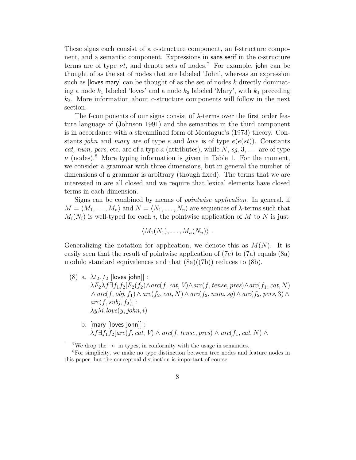These signs each consist of a c-structure component, an f-structure component, and a semantic component. Expressions in sans serif in the c-structure terms are of type  $\nu t$ , and denote sets of nodes.<sup>7</sup> For example, john can be thought of as the set of nodes that are labeled 'John', whereas an expression such as  $[lowest)$  can be thought of as the set of nodes k directly dominating a node  $k_1$  labeled 'loves' and a node  $k_2$  labeled 'Mary', with  $k_1$  preceding  $k<sub>2</sub>$ . More information about c-structure components will follow in the next section.

The f-components of our signs consist of  $\lambda$ -terms over the first order feature language of (Johnson 1991) and the semantics in the third component is in accordance with a streamlined form of Montague's (1973) theory. Constants *john* and *mary* are of type e and *love* is of type  $e(e(st))$ . Constants cat, num, pers, etc. are of a type a (attributes), while  $N$ , sq, 3, ... are of type  $\nu$  (nodes).<sup>8</sup> More typing information is given in Table 1. For the moment, we consider a grammar with three dimensions, but in general the number of dimensions of a grammar is arbitrary (though fixed). The terms that we are interested in are all closed and we require that lexical elements have closed terms in each dimension.

Signs can be combined by means of pointwise application. In general, if  $M = \langle M_1, \ldots, M_n \rangle$  and  $N = \langle N_1, \ldots, N_n \rangle$  are sequences of  $\lambda$ -terms such that  $M_i(N_i)$  is well-typed for each i, the pointwise application of M to N is just

$$
\langle M_1(N_1),\ldots,M_n(N_n)\rangle .
$$

Generalizing the notation for application, we denote this as  $M(N)$ . It is easily seen that the result of pointwise application of (7c) to (7a) equals (8a) modulo standard equivalences and that  $(8a)((7b))$  reduces to  $(8b)$ .

- (8) a.  $\lambda t_2$ .  $[t_2$  [loves john]]:  $\lambda F_2 \lambda f \exists f_1 f_2 [F_2(f_2) \wedge arc(f, cat, V) \wedge arc(f, tense, pres) \wedge arc(f_1, cat, N)]$  $\land arc(f, obj, f_1) \land arc(f_2, cat, N) \land arc(f_2, num, sg) \land arc(f_2, pers, 3) \land$  $arc(f,subj, f_2)$ :  $\lambda y \lambda i.$ love $(y, john, i)$ 
	- b. [mary [loves john]] :  $\lambda f \exists f_1 f_2[arc(f, cat, V) \wedge arc(f, tense, pres) \wedge arc(f_1, cat, N) \wedge$

<sup>&</sup>lt;sup>7</sup>We drop the  $\sim$  in types, in conformity with the usage in semantics.

<sup>8</sup>For simplicity, we make no type distinction between tree nodes and feature nodes in this paper, but the conceptual distinction is important of course.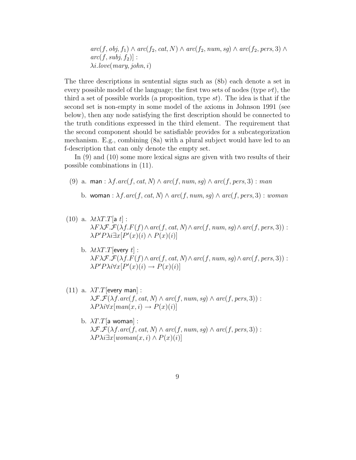$arc(f, obj, f_1) \wedge arc(f_2, cat, N) \wedge arc(f_2, num, sg) \wedge arc(f_2, pers, 3) \wedge$  $arc(f,subj, f_2)$ :  $\lambda i.$ love(mary, john, i)

The three descriptions in sentential signs such as (8b) each denote a set in every possible model of the language; the first two sets of nodes (type  $\nu t$ ), the third a set of possible worlds (a proposition, type  $st$ ). The idea is that if the second set is non-empty in some model of the axioms in Johnson 1991 (see below), then any node satisfying the first description should be connected to the truth conditions expressed in the third element. The requirement that the second component should be satisfiable provides for a subcategorization mechanism. E.g., combining (8a) with a plural subject would have led to an f-description that can only denote the empty set.

In (9) and (10) some more lexical signs are given with two results of their possible combinations in (11).

- (9) a. man :  $\lambda f \cdot arc(f, cat, N) \wedge arc(f, num, sq) \wedge arc(f, pers, 3)$  : man
	- b. woman :  $\lambda f. arc(f, cat, N) \wedge arc(f, num, sq) \wedge arc(f, pers, 3)$ : woman
- (10) a.  $\lambda t \lambda T.T$ [a t] :  $\lambda F \lambda \mathcal{F} \mathcal{F}(\lambda f.F(f) \wedge arc(f, cat, N) \wedge arc(f, num, sg) \wedge arc(f, pers, 3))$ :  $\lambda P' P \lambda i \exists x [P'(x)(i) \wedge P(x)(i)]$ 
	- b.  $\lambda t \lambda T$ . T [every t] :  $\lambda F\lambda \mathcal{F}.\mathcal{F}(\lambda f.F(f) \wedge arc(f, cat, N) \wedge arc(f, num, sg) \wedge arc(f, pers, 3))$ :  $\lambda P' P \lambda i \forall x [P'(x)(i) \rightarrow P(x)(i)]$
- (11) a.  $\lambda T.T$ [every man] :  $\lambda \mathcal{F}.\mathcal{F}(\lambda f.\mathit{arc}(f,\mathit{cat},N) \wedge \mathit{arc}(f,\mathit{num},\mathit{sq}) \wedge \mathit{arc}(f,\mathit{pers},3))$ :  $\lambda P\lambda i \forall x [man(x, i) \rightarrow P(x)(i)]$ 
	- b.  $\lambda T.T$ [a woman] :  $\lambda \mathcal{F}.\mathcal{F}(\lambda f.\mathit{arc}(f,\mathit{cat},N) \wedge \mathit{arc}(f,\mathit{num},\mathit{sq}) \wedge \mathit{arc}(f,\mathit{pers},3))$ :  $\lambda P\lambda i \exists x \{woman(x,i) \wedge P(x)(i)\}\$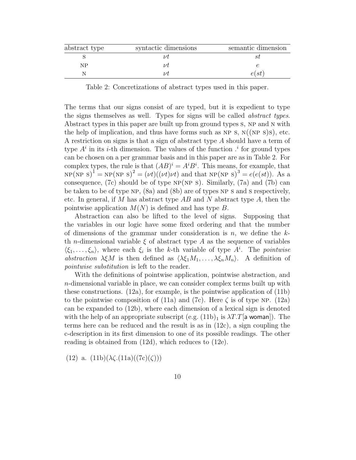| abstract type | syntactic dimensions | semantic dimension |
|---------------|----------------------|--------------------|
|               |                      |                    |
| ΝP            |                      |                    |
|               |                      | e(st)              |

Table 2: Concretizations of abstract types used in this paper.

The terms that our signs consist of are typed, but it is expedient to type the signs themselves as well. Types for signs will be called abstract types. Abstract types in this paper are built up from ground types s, NP and N with the help of implication, and thus have forms such as NP s,  $N((NP S)S)$ , etc. A restriction on signs is that a sign of abstract type A should have a term of type  $A^i$  in its *i*-th dimension. The values of the function  $A^i$  for ground types can be chosen on a per grammar basis and in this paper are as in Table 2. For complex types, the rule is that  $(AB)^i = A^i B^i$ . This means, for example, that  $NP(NP S)<sup>1</sup> = NP(NP S)<sup>2</sup> = (\nu t)((\nu t)\nu t)$  and that  $NP(NP S)<sup>3</sup> = e(e(st))$ . As a consequence, (7c) should be of type  $NP(NP S)$ . Similarly, (7a) and (7b) can be taken to be of type NP, (8a) and (8b) are of types NP s and s respectively, etc. In general, if M has abstract type  $AB$  and N abstract type A, then the pointwise application  $M(N)$  is defined and has type B.

Abstraction can also be lifted to the level of signs. Supposing that the variables in our logic have some fixed ordering and that the number of dimensions of the grammar under consideration is  $n$ , we define the  $k$ th *n*-dimensional variable  $\xi$  of abstract type A as the sequence of variables  $\langle \xi_1, \ldots, \xi_n \rangle$ , where each  $\xi_i$  is the k-th variable of type  $A^i$ . The pointwise abstraction  $\lambda \xi M$  is then defined as  $\langle \lambda \xi_1 M_1, \ldots, \lambda \xi_n M_n \rangle$ . A definition of pointwise substitution is left to the reader.

With the definitions of pointwise application, pointwise abstraction, and n-dimensional variable in place, we can consider complex terms built up with these constructions. (12a), for example, is the pointwise application of (11b) to the pointwise composition of (11a) and (7c). Here  $\zeta$  is of type NP. (12a) can be expanded to (12b), where each dimension of a lexical sign is denoted with the help of an appropriate subscript  $(e.g. (11b)<sub>1</sub>$  is  $\lambda T.T$ [a woman]). The terms here can be reduced and the result is as in (12c), a sign coupling the c-description in its first dimension to one of its possible readings. The other reading is obtained from (12d), which reduces to (12e).

(12) a.  $(11b)(\lambda \zeta.(11a)((7c)(\zeta)))$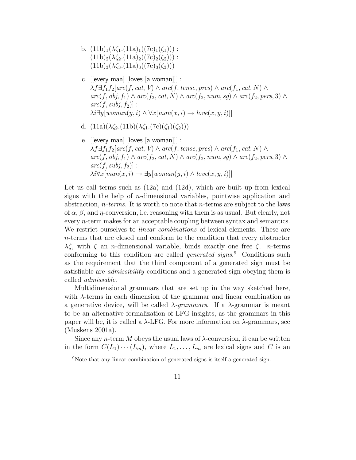- b.  $(11b)<sub>1</sub>(\lambda \zeta<sub>1</sub>.(11a)<sub>1</sub>((7c)<sub>1</sub>(\zeta<sub>1</sub>)))$ :  $(11b)<sub>2</sub>(\lambda \zeta<sub>2</sub>.(11a)<sub>2</sub>((7c)<sub>2</sub>(\zeta<sub>2</sub>)))$ :  $(11b)_{3}(\lambda \zeta_{3}.(11a)_{3}((7c)_{3}(\zeta_{3})))$
- c.  $[[every man]$   $[loves [a woman]]]$ :  $\lambda f \exists f_1 f_2[arc(f, cat, V) \wedge arc(f, tense, pres) \wedge arc(f_1, cat, N) \wedge$  $arc(f, obj, f_1) \wedge arc(f_2, cat, N) \wedge arc(f_2, num, sg) \wedge arc(f_2, pers, 3) \wedge$  $arc(f,subj, f_2)$ :  $\lambda i \exists y [woman(y, i) \land \forall x [man(x, i) \rightarrow love(x, y, i)]]$
- d.  $(11a)(\lambda \zeta_2.(11b)(\lambda \zeta_1.(7c)(\zeta_1)(\zeta_2)))$
- e. [[every man] [loves [a woman]]] :  $\lambda f \exists f_1 f_2[arc(f, cat, V) \wedge arc(f, tense, pres) \wedge arc(f_1, cat, N) \wedge$  $arc(f, obj, f_1) \wedge arc(f_2, cat, N) \wedge arc(f_2, num, sg) \wedge arc(f_2, pers, 3) \wedge$  $arc(f,subj, f_2)$ ]:  $\lambda i \forall x [man(x, i) \rightarrow \exists y [woman(y, i) \wedge love(x, y, i)]]$

Let us call terms such as (12a) and (12d), which are built up from lexical signs with the help of  $n$ -dimensional variables, pointwise application and abstraction,  $n$ -terms. It is worth to note that  $n$ -terms are subject to the laws of  $\alpha$ ,  $\beta$ , and  $\eta$ -conversion, i.e. reasoning with them is as usual. But clearly, not every n-term makes for an acceptable coupling between syntax and semantics. We restrict ourselves to linear combinations of lexical elements. These are n-terms that are closed and conform to the condition that every abstractor λζ, with ζ an *n*-dimensional variable, binds exactly one free ζ. *n*-terms conforming to this condition are called *generated signs*.<sup>9</sup> Conditions such as the requirement that the third component of a generated sign must be satisfiable are *admissibility* conditions and a generated sign obeying them is called admissable.

Multidimensional grammars that are set up in the way sketched here, with  $\lambda$ -terms in each dimension of the grammar and linear combination as a generative device, will be called  $\lambda$ -grammars. If a  $\lambda$ -grammar is meant to be an alternative formalization of LFG insights, as the grammars in this paper will be, it is called a  $\lambda$ -LFG. For more information on  $\lambda$ -grammars, see (Muskens 2001a).

Since any *n*-term M obeys the usual laws of  $\lambda$ -conversion, it can be written in the form  $C(L_1)\cdots(L_m)$ , where  $L_1,\ldots,L_m$  are lexical signs and C is an

<sup>&</sup>lt;sup>9</sup>Note that any linear combination of generated signs is itself a generated sign.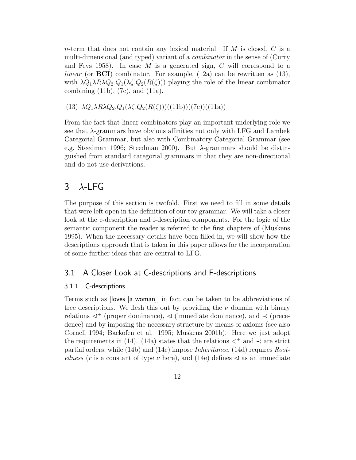*n*-term that does not contain any lexical material. If  $M$  is closed,  $C$  is a multi-dimensional (and typed) variant of a *combinator* in the sense of (Curry and Feys 1958). In case M is a generated sign, C will correspond to a *linear* (or **BCI**) combinator. For example,  $(12a)$  can be rewritten as  $(13)$ , with  $\lambda Q_1 \lambda R \lambda Q_2 \cdot Q_1(\lambda \zeta \cdot Q_2(R(\zeta)))$  playing the role of the linear combinator combining  $(11b)$ ,  $(7c)$ , and  $(11a)$ .

(13)  $\lambda Q_1 \lambda R \lambda Q_2 \cdot Q_1(\lambda \zeta \cdot Q_2(R(\zeta)))((11b))((7c))((11a))$ 

From the fact that linear combinators play an important underlying role we see that  $\lambda$ -grammars have obvious affinities not only with LFG and Lambek Categorial Grammar, but also with Combinatory Categorial Grammar (see e.g. Steedman 1996; Steedman 2000). But  $\lambda$ -grammars should be distinguished from standard categorial grammars in that they are non-directional and do not use derivations.

# $3$   $\lambda$ -LFG

The purpose of this section is twofold. First we need to fill in some details that were left open in the definition of our toy grammar. We will take a closer look at the c-description and f-description components. For the logic of the semantic component the reader is referred to the first chapters of (Muskens 1995). When the necessary details have been filled in, we will show how the descriptions approach that is taken in this paper allows for the incorporation of some further ideas that are central to LFG.

### 3.1 A Closer Look at C-descriptions and F-descriptions

### 3.1.1 C-descriptions

Terms such as [loves [a woman]] in fact can be taken to be abbreviations of tree descriptions. We flesh this out by providing the  $\nu$  domain with binary relations  $\lhd^+$  (proper dominance),  $\lhd$  (immediate dominance), and  $\lhd$  (precedence) and by imposing the necessary structure by means of axioms (see also Cornell 1994; Backofen et al. 1995; Muskens 2001b). Here we just adopt the requirements in (14). (14a) states that the relations  $\triangleleft^+$  and  $\prec$  are strict partial orders, while (14b) and (14c) impose Inheritance, (14d) requires Rootedness (r is a constant of type  $\nu$  here), and (14e) defines  $\triangleleft$  as an immediate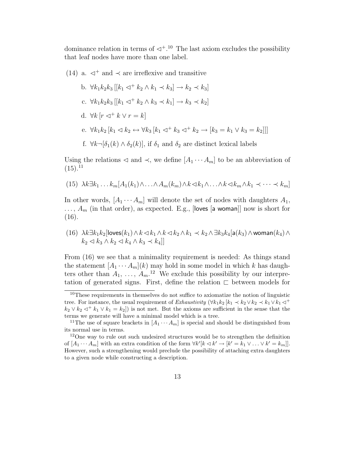dominance relation in terms of  $\triangleleft^{+10}$  The last axiom excludes the possibility that leaf nodes have more than one label.

### (14) a.  $\lhd^+$  and  $\lhd$  are irreflexive and transitive  $\begin{bmatrix} 1 & \sqrt{1} & 1 & 1 \end{bmatrix}$   $\begin{bmatrix} 1 & 1 & 1 \end{bmatrix}$   $\begin{bmatrix} 1 & 1 & 1 \end{bmatrix}$   $\begin{bmatrix} 1 & 1 & 1 \end{bmatrix}$

b. 
$$
\forall k_1k_2k_3 \, \left[ |k_1 \triangleleft^+ k_2 \wedge k_1 \prec k_3| \rightarrow k_2 \prec k_3 \right]
$$
  
\nc.  $\forall k_1k_2k_3 \, \left[ |k_1 \triangleleft^+ k_2 \wedge k_3 \prec k_1| \rightarrow k_3 \prec k_2 \right]$   
\nd.  $\forall k \, \left[ r \triangleleft^+ k \vee r = k \right]$   
\ne.  $\forall k_1k_2 \, \left[ k_1 \triangleleft k_2 \leftrightarrow \forall k_3 \, \left[ k_1 \triangleleft^+ k_3 \triangleleft^+ k_2 \rightarrow \left[ k_3 = k_1 \vee k_3 = k_2 \right] \right] \right] \right]$   
\nf.  $\forall k \neg [\delta_1(k) \wedge \delta_2(k)]$ , if  $\delta_1$  and  $\delta_2$  are distinct lexical labels

Using the relations  $\triangleleft$  and  $\prec$ , we define  $[A_1 \cdots A_m]$  to be an abbreviation of  $(15).^{11}$ 

(15) 
$$
\lambda k \exists k_1 \ldots k_m [A_1(k_1) \wedge \ldots \wedge A_m(k_m) \wedge k \langle k_1 \wedge \ldots \wedge k \langle k_m \wedge k_1 \langle \cdot \cdot \cdot \rangle \langle k_m]
$$

In other words,  $[A_1 \cdots A_m]$  will denote the set of nodes with daughters  $A_1$ ,  $\ldots$ ,  $A_m$  (in that order), as expected. E.g., [loves [a woman]] now is short for (16).

(16) 
$$
\lambda k \exists k_1 k_2 [\text{loves}(k_1) \land k \prec k_1 \land k \prec k_2 \land k_1 \prec k_2 \land \exists k_3 k_4 [\mathsf{a}(k_3) \land \text{woman}(k_4) \land k_2 \prec k_3 \land k_2 \prec k_4 \land k_3 \prec k_4]]
$$

From  $(16)$  we see that a minimality requirement is needed: As things stand the statement  $[A_1 \cdots A_m](k)$  may hold in some model in which k has daughters other than  $A_1, \ldots, A_m$ <sup>12</sup> We exclude this possibility by our interpretation of generated signs. First, define the relation  $\Gamma$  between models for

<sup>&</sup>lt;sup>10</sup>These requirements in themselves do not suffice to axiomatize the notion of linguistic tree. For instance, the usual requirement of Exhaustivity ( $\forall k_1 k_2$  [ $k_1 \prec k_2 \lor k_2 \prec k_1 \lor k_1 \lhd^+$  $k_2 \vee k_2 \triangleleft^+ k_1 \vee k_1 = k_2$ ) is not met. But the axioms are sufficient in the sense that the terms we generate will have a minimal model which is a tree.

<sup>&</sup>lt;sup>11</sup>The use of square brackets in  $[A_1 \cdots A_m]$  is special and should be distinguished from its normal use in terms.

<sup>&</sup>lt;sup>12</sup>One way to rule out such undesired structures would be to strengthen the definition of  $[A_1 \cdots A_m]$  with an extra condition of the form  $\forall k' [k \triangleleft k' \rightarrow [k' = k_1 \vee \ldots \vee k' = k_m]]$ . However, such a strengthening would preclude the possibility of attaching extra daughters to a given node while constructing a description.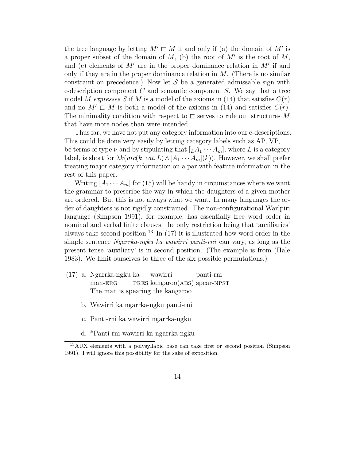the tree language by letting  $M' \sqsubset M$  if and only if (a) the domain of  $M'$  is a proper subset of the domain of  $M$ , (b) the root of  $M'$  is the root of  $M$ , and (c) elements of  $M'$  are in the proper dominance relation in  $M'$  if and only if they are in the proper dominance relation in  $M$ . (There is no similar constraint on precedence.) Now let  $\mathcal S$  be a generated admissable sign with c-description component  $C$  and semantic component  $S$ . We say that a tree model M expresses S if M is a model of the axioms in (14) that satisfies  $C(r)$ and no  $M' \sqsubset M$  is both a model of the axioms in (14) and satisfies  $C(r)$ . The minimality condition with respect to  $\sqsubset$  serves to rule out structures M that have more nodes than were intended.

Thus far, we have not put any category information into our c-descriptions. This could be done very easily by letting category labels such as AP, VP, ... be terms of type  $\nu$  and by stipulating that  $[LA_1 \cdots A_m]$ , where L is a category label, is short for  $\lambda k(arc(k, cat, L) \wedge [A_1 \cdots A_m](k))$ . However, we shall prefer treating major category information on a par with feature information in the rest of this paper.

Writing  $[A_1 \cdots A_m]$  for (15) will be handy in circumstances where we want the grammar to prescribe the way in which the daughters of a given mother are ordered. But this is not always what we want. In many languages the order of daughters is not rigidly constrained. The non-configurational Warlpiri language (Simpson 1991), for example, has essentially free word order in nominal and verbal finite clauses, the only restriction being that 'auxiliaries' always take second position.<sup>13</sup> In (17) it is illustrated how word order in the simple sentence Ngarrka-ngku ka wawirri panti-rni can vary, as long as the present tense 'auxiliary' is in second position. (The example is from (Hale 1983). We limit ourselves to three of the six possible permutations.)

- (17) a. Ngarrka-ngku ka wawirri panti-rni man-ERG PRES kangaroo(ABS) spear-NPST The man is spearing the kangaroo
	- b. Wawirri ka ngarrka-ngku panti-rni
	- c. Panti-rni ka wawirri ngarrka-ngku
	- d. \*Panti-rni wawirri ka ngarrka-ngku

<sup>13</sup>AUX elements with a polysyllabic base can take first or second position (Simpson 1991). I will ignore this possibility for the sake of exposition.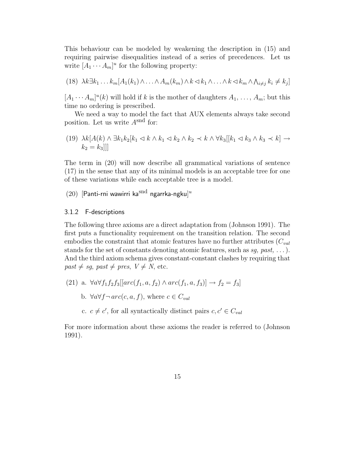This behaviour can be modeled by weakening the description in (15) and requiring pairwise disequalities instead of a series of precedences. Let us write  $[A_1 \cdots A_m]^u$  for the following property:

(18) 
$$
\lambda k \exists k_1 \ldots k_m [A_1(k_1) \wedge \ldots \wedge A_m(k_m) \wedge k \langle k_1 \wedge \ldots \wedge k \langle k_m \wedge \Lambda_{i \neq j} k_i \neq k_j]
$$

 $[A_1 \cdots A_m]^u(k)$  will hold if k is the mother of daughters  $A_1, \ldots, A_m$ ; but this time no ordering is prescribed.

We need a way to model the fact that AUX elements always take second position. Let us write  $A<sup>snd</sup>$  for:

(19) 
$$
\lambda k[A(k) \wedge \exists k_1 k_2 [k_1 \triangleleft k \wedge k_1 \triangleleft k_2 \wedge k_2 \prec k \wedge \forall k_3[[k_1 \triangleleft k_3 \wedge k_3 \prec k] \rightarrow k_2 = k_3]]
$$

The term in (20) will now describe all grammatical variations of sentence (17) in the sense that any of its minimal models is an acceptable tree for one of these variations while each acceptable tree is a model.

 $(20)$  [Panti-rni wawirri ka $^{\rm{snd}}$  ngarrka-ngku]<sup>u</sup>

#### 3.1.2 F-descriptions

The following three axioms are a direct adaptation from (Johnson 1991). The first puts a functionality requirement on the transition relation. The second embodies the constraint that atomic features have no further attributes  $(C_{val})$ stands for the set of constants denoting atomic features, such as  $sg$ , past, ...). And the third axiom schema gives constant-constant clashes by requiring that  $past \neq sg, past \neq pres, V \neq N, etc.$ 

- (21) a.  $\forall a \forall f_1 f_2 f_3[[arc(f_1, a, f_2) \land arc(f_1, a, f_3)] \rightarrow f_2 = f_3]$ 
	- b.  $\forall a \forall f \neg \text{arc}(c, a, f)$ , where  $c \in C_{val}$
	- c.  $c \neq c'$ , for all syntactically distinct pairs  $c, c' \in C_{val}$

For more information about these axioms the reader is referred to (Johnson 1991).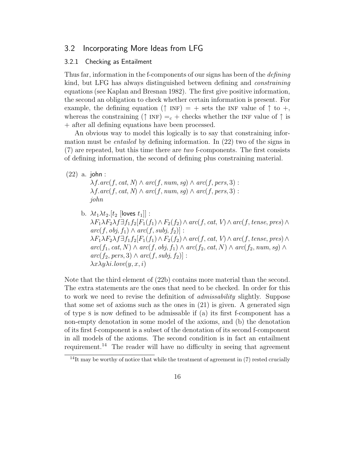### 3.2 Incorporating More Ideas from LFG

#### 3.2.1 Checking as Entailment

Thus far, information in the f-components of our signs has been of the *defining* kind, but LFG has always distinguished between defining and constraining equations (see Kaplan and Bresnan 1982). The first give positive information, the second an obligation to check whether certain information is present. For example, the defining equation ( $\uparrow$  INF) = + sets the INF value of  $\uparrow$  to +, whereas the constraining ( $\uparrow$  INF) = c + checks whether the INF value of  $\uparrow$  is + after all defining equations have been processed.

An obvious way to model this logically is to say that constraining information must be *entailed* by defining information. In  $(22)$  two of the signs in  $(7)$  are repeated, but this time there are two f-components. The first consists of defining information, the second of defining plus constraining material.

$$
(22)
$$
 a.  $John:$ 

 $\lambda f. arc(f, cat, N) \wedge arc(f, num, sq) \wedge arc(f, pers, 3)$ :  $\lambda f \cdot arc(f, cat, N) \wedge arc(f, num, sg) \wedge arc(f, pers, 3)$ : john

b.  $\lambda t_1 \lambda t_2$ .[ $t_2$  [loves  $t_1$ ]] :  $\lambda F_1 \lambda F_2 \lambda f \exists f_1 f_2[F_1(f_1) \wedge F_2(f_2) \wedge arc(f, cat, V) \wedge arc(f, tense, pres) \wedge$  $arc(f, obj, f_1) \wedge arc(f, subj, f_2)$ :  $\lambda F_1 \lambda F_2 \lambda f \exists f_1 f_2[F_1(f_1) \wedge F_2(f_2) \wedge arc(f, cat, V) \wedge arc(f, tense, pres) \wedge$  $\mathit{arc}(f_1, \mathit{cat}, N) \land \mathit{arc}(f, \mathit{obj}, f_1) \land \mathit{arc}(f_2, \mathit{cat}, N) \land \mathit{arc}(f_2, \mathit{num}, \mathit{sg}) \land$  $arc(f_2, pers, 3) \wedge arc(f, subj, f_2)$ :  $\lambda x \lambda y \lambda i.$ love $(y, x, i)$ 

Note that the third element of (22b) contains more material than the second. The extra statements are the ones that need to be checked. In order for this to work we need to revise the definition of admissability slightly. Suppose that some set of axioms such as the ones in (21) is given. A generated sign of type s is now defined to be admissable if (a) its first f-component has a non-empty denotation in some model of the axioms, and (b) the denotation of its first f-component is a subset of the denotation of its second f-component in all models of the axioms. The second condition is in fact an entailment requirement.<sup>14</sup> The reader will have no difficulty in seeing that agreement

 $14$ It may be worthy of notice that while the treatment of agreement in (7) rested crucially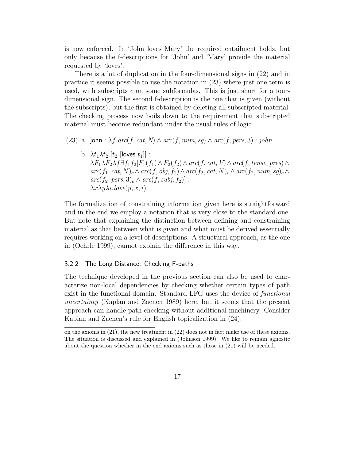is now enforced. In 'John loves Mary' the required entailment holds, but only because the f-descriptions for 'John' and 'Mary' provide the material requested by 'loves'.

There is a lot of duplication in the four-dimensional signs in (22) and in practice it seems possible to use the notation in (23) where just one term is used, with subscripts c on some subformulas. This is just short for a fourdimensional sign. The second f-description is the one that is given (without the subscripts), but the first is obtained by deleting all subscripted material. The checking process now boils down to the requirement that subscripted material must become redundant under the usual rules of logic.

(23) a. john :  $\lambda f \cdot arc(f, cat, N) \wedge arc(f, num, sg) \wedge arc(f, pers, 3)$ : john

b.  $\lambda t_1 \lambda t_2$ .[ $t_2$  [loves  $t_1$ ]] :  $\lambda F_1 \lambda F_2 \lambda f \exists f_1 f_2[F_1(f_1) \wedge F_2(f_2) \wedge arc(f, cat, V) \wedge arc(f, tense, pres) \wedge$  $arc(f_1, cat, N)_c \wedge arc(f, obj, f_1) \wedge arc(f_2, cat, N)_c \wedge arc(f_2, num, sg)_c \wedge$  $arc(f_2, pers, 3)_c \wedge arc(f, subj, f_2)$ :  $\lambda x \lambda y \lambda i.$ love $(y, x, i)$ 

The formalization of constraining information given here is straightforward and in the end we employ a notation that is very close to the standard one. But note that explaining the distinction between defining and constraining material as that between what is given and what must be derived essentially requires working on a level of descriptions. A structural approach, as the one in (Oehrle 1999), cannot explain the difference in this way.

#### 3.2.2 The Long Distance: Checking F-paths

The technique developed in the previous section can also be used to characterize non-local dependencies by checking whether certain types of path exist in the functional domain. Standard LFG uses the device of *functional* uncertainty (Kaplan and Zaenen 1989) here, but it seems that the present approach can handle path checking without additional machinery. Consider Kaplan and Zaenen's rule for English topicalization in (24).

on the axioms in (21), the new treatment in (22) does not in fact make use of these axioms. The situation is discussed and explained in (Johnson 1999). We like to remain agnostic about the question whether in the end axioms such as those in (21) will be needed.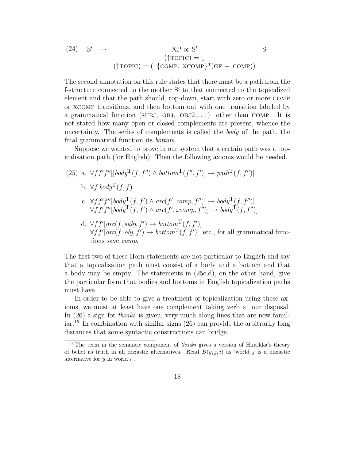(24) 
$$
S' \rightarrow NP \text{ or } S'
$$
  $S$   
\n
$$
(\uparrow \text{TOPIC}) = \downarrow
$$
\n
$$
(\uparrow \text{TOPIC}) = (\uparrow \{\text{COMP}, \text{XCOMP}\}^*(\text{GF} - \text{COMP}))
$$

The second annotation on this rule states that there must be a path from the f-structure connected to the mother S' to that connected to the topicalized element and that the path should, top-down, start with zero or more comp or xcomp transitions, and then bottom out with one transition labeled by a grammatical function (SUBJ, OBJ,  $OBJ2, \ldots$ ) other than COMP. It is not stated how many open or closed complements are present, whence the uncertainty. The series of complements is called the body of the path, the final grammatical function its bottom.

Suppose we wanted to prove in our system that a certain path was a topicalisation path (for English). Then the following axioms would be needed.

- (25) a.  $\forall f f' f''[[body^{\mathrm{T}}(f, f'') \wedge bottom^{\mathrm{T}}(f'', f')] \rightarrow path^{\mathrm{T}}(f, f'')]$ b.  $\forall f \text{ } b \text{ } o \text{ } d \text{ } u \text{T} (f, f)$ c.  $\forall f f' f''[body^{\mathrm{T}}(f, f') \wedge arc(f', comp, f'')] \rightarrow body^{\mathrm{T}}(f, f'')]$  $\forall f f' f''[body^{\text{T}}(f, f') \land arc(f', xcomp, f'')] \rightarrow body^{\text{T}}(f, f'')]$ 
	- d.  $\forall ff'[arc(f, subj, f') \rightarrow bottom^{\text{T}}(f, f')]$  $\forall f f'[arc(f, obj, f') \rightarrow bottom^{\text{T}}(f, f')]$ , etc., for all grammatical functions save comp.

The first two of these Horn statements are not particular to English and say that a topicalisation path must consist of a body and a bottom and that a body may be empty. The statements in (25c,d), on the other hand, give the particular form that bodies and bottoms in English topicalization paths must have.

In order to be able to give a treatment of topicalization using these axioms, we must at least have one complement taking verb at our disposal. In (26) a sign for *thinks* is given, very much along lines that are now famil- $\ar{15}$  In combination with similar signs (26) can provide the arbitrarily long distances that some syntactic constructions can bridge.

<sup>&</sup>lt;sup>15</sup>The term in the semantic component of *thinks* gives a version of Hintikka's theory of belief as truth in all doxastic alternatives. Read  $B(y, j, i)$  as 'world j is a doxastic alternative for  $y$  in world  $i'$ .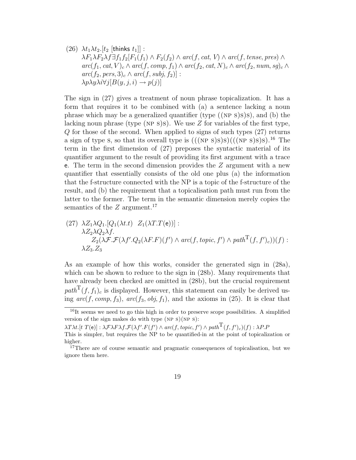(26)  $\lambda t_1 \lambda t_2$ .[ $t_2$  [thinks  $t_1$ ]]:  $\lambda F_1 \lambda F_2 \lambda f \exists f_1 f_2[F_1(f_1) \wedge F_2(f_2) \wedge arc(f, cat, V) \wedge arc(f, tense, pres) \wedge$  $arc(f_1, cat, V)_c \wedge arc(f, comp, f_1) \wedge arc(f_2, cat, N)_c \wedge arc(f_2, num, sg)_c \wedge$  $arc(f_2, pers, 3)_c \wedge arc(f, subj, f_2)$ :  $\lambda p \lambda y \lambda i \forall j [B(y, j, i) \rightarrow p(j)]$ 

The sign in (27) gives a treatment of noun phrase topicalization. It has a form that requires it to be combined with (a) a sentence lacking a noun phrase which may be a generalized quantifier (type  $((NP S)S)$ s), and (b) the lacking noun phrase (type (NP s)s). We use  $Z$  for variables of the first type, Q for those of the second. When applied to signs of such types (27) returns a sign of type s, so that its overall type is  $(((NP S)S)S)((NP S)S)S).$ <sup>16</sup> The term in the first dimension of (27) preposes the syntactic material of its quantifier argument to the result of providing its first argument with a trace e. The term in the second dimension provides the  $Z$  argument with a new quantifier that essentially consists of the old one plus (a) the information that the f-structure connected with the NP is a topic of the f-structure of the result, and (b) the requirement that a topicalisation path must run from the latter to the former. The term in the semantic dimension merely copies the semantics of the  $Z$  argument.<sup>17</sup>

(27) 
$$
\lambda Z_1 \lambda Q_1
$$
 [Q<sub>1</sub>( $\lambda t$ .t)  $Z_1(\lambda T.T(e))$ ]:  
\n $\lambda Z_2 \lambda Q_2 \lambda f$ .  
\n $Z_2(\lambda \mathcal{F}.\mathcal{F}(\lambda f'.Q_2(\lambda F.F)(f') \wedge arc(f, topic, f') \wedge path^T(f, f')_c))(f)$ :  
\n $\lambda Z_3.Z_3$ 

As an example of how this works, consider the generated sign in (28a), which can be shown to reduce to the sign in  $(28b)$ . Many requirements that have already been checked are omitted in (28b), but the crucial requirement  $path^{\mathsf{T}}(f, f_1)_c$  is displayed. However, this statement can easily be derived using  $arc(f, comp, f_3)$ ,  $arc(f_3, obj, f_1)$ , and the axioms in (25). It is clear that

 $16$ It seems we need to go this high in order to preserve scope possibilities. A simplified version of the sign makes do with type (NP s)(NP s):

 $\lambda T \lambda t.$ [t  $T(e)$ ] :  $\lambda \mathcal{F} \lambda F \lambda f. \mathcal{F}(\lambda f'.F(f') \wedge arc(f, topic, f') \wedge path^{\text{T}}(f, f')_{c})(f) : \lambda P.F$ 

This is simpler, but requires the NP to be quantified-in at the point of topicalization or higher.

<sup>&</sup>lt;sup>17</sup>There are of course semantic and pragmatic consequences of topicalisation, but we ignore them here.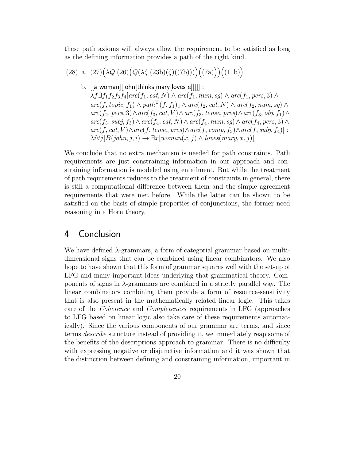these path axioms will always allow the requirement to be satisfied as long as the defining information provides a path of the right kind.

(28) a. 
$$
(27)(\lambda Q.(26)(Q(\lambda \zeta.(23b)(\zeta)((7b))))((7a)))((11b))
$$

b. [[a woman][john[thinks[mary[loves e]]]]] :

 $\lambda f \exists f_1 f_2 f_3 f_4[arc(f_1, cat, N) \wedge arc(f_1, num, sg) \wedge arc(f_1, pers, 3) \wedge$  $\mathit{arc}(f, \mathit{topic}, f_1) \wedge \mathit{path}^{\mathit{T}}(f, f_1)_{c} \wedge \mathit{arc}(f_2, \mathit{cat}, N) \wedge \mathit{arc}(f_2, \mathit{num}, \mathit{sg}) \wedge$  $\mathit{arc}(f_2, \mathit{pers}, 3) \land \mathit{arc}(f_3, \mathit{cat}, V) \land \mathit{arc}(f_3, \mathit{tense}, \mathit{pres}) \land \mathit{arc}(f_3, \mathit{obj}, f_1) \land$  $\mathit{arc}(f_3, \mathit{subj}, f_3) \wedge \mathit{arc}(f_4, \mathit{cat}, N) \wedge \mathit{arc}(f_4, \mathit{num}, sg) \wedge \mathit{arc}(f_4, \mathit{pers}, 3) \wedge$  $arc(f, cat, V) \wedge arc(f, tense, pres) \wedge arc(f, comp, f_3) \wedge arc(f, subj, f_4)$  :  $\lambda i \forall j [B(john, j, i) \rightarrow \exists x [woman(x, j) \land loves(mary, x, j)]]$ 

We conclude that no extra mechanism is needed for path constraints. Path requirements are just constraining information in our approach and constraining information is modeled using entailment. But while the treatment of path requirements reduces to the treatment of constraints in general, there is still a computational difference between them and the simple agreement requirements that were met before. While the latter can be shown to be satisfied on the basis of simple properties of conjunctions, the former need reasoning in a Horn theory.

## 4 Conclusion

We have defined λ-grammars, a form of categorial grammar based on multidimensional signs that can be combined using linear combinators. We also hope to have shown that this form of grammar squares well with the set-up of LFG and many important ideas underlying that grammatical theory. Components of signs in  $\lambda$ -grammars are combined in a strictly parallel way. The linear combinators combining them provide a form of resource-sensitivity that is also present in the mathematically related linear logic. This takes care of the Coherence and Completeness requirements in LFG (approaches to LFG based on linear logic also take care of these requirements automatically). Since the various components of our grammar are terms, and since terms describe structure instead of providing it, we immediately reap some of the benefits of the descriptions approach to grammar. There is no difficulty with expressing negative or disjunctive information and it was shown that the distinction between defining and constraining information, important in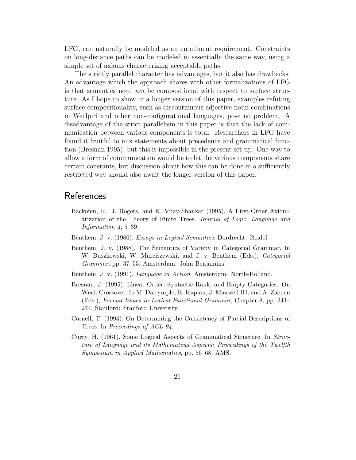LFG, can naturally be modeled as an entailment requirement. Constraints on long-distance paths can be modeled in essentially the same way, using a simple set of axioms characterizing acceptable paths.

The strictly parallel character has advantages, but it also has drawbacks. An advantage which the approach shares with other formalizations of LFG is that semantics need not be compositional with respect to surface structure. As I hope to show in a longer version of this paper, examples refuting surface compositionality, such as discontinuous adjective-noun combinations in Warlpiri and other non-configurational languages, pose no problem. A disadvantage of the strict parallelism in this paper is that the lack of communication between various components is total. Researchers in LFG have found it fruitful to mix statements about precedence and grammatical function (Bresnan 1995), but this is impossible in the present set-up. One way to allow a form of communication would be to let the various components share certain constants, but discussion about how this can be done in a sufficiently restricted way should also await the longer version of this paper.

## **References**

- Backofen, R., J. Rogers, and K. Vijay-Shankar (1995). A First-Order Axiomatization of the Theory of Finite Trees. Journal of Logic, Language and Information  $4, 5-39$ .
- Benthem, J. v. (1986). Essays in Logical Semantics. Dordrecht: Reidel.
- Benthem, J. v. (1988). The Semantics of Variety in Categorial Grammar. In W. Buszkowski, W. Marciszewski, and J. v. Benthem (Eds.), Categorial Grammar, pp. 37–55. Amsterdam: John Benjamins.
- Benthem, J. v. (1991). Language in Action. Amsterdam: North-Holland.
- Bresnan, J. (1995). Linear Order, Syntactic Rank, and Empty Categories: On Weak Crossover. In M. Dalrymple, R. Kaplan, J. Maxwell III, and A. Zaenen (Eds.), Formal Issues in Lexical-Functional Grammar, Chapter 8, pp. 241– 274. Stanford: Stanford University.
- Cornell, T. (1994). On Determining the Consistency of Partial Descriptions of Trees. In *Proceedings of ACL-94*.
- Curry, H. (1961). Some Logical Aspects of Grammatical Structure. In Structure of Language and its Mathematical Aspects: Proceedings of the Twelfth Symposium in Applied Mathematics, pp. 56–68. AMS.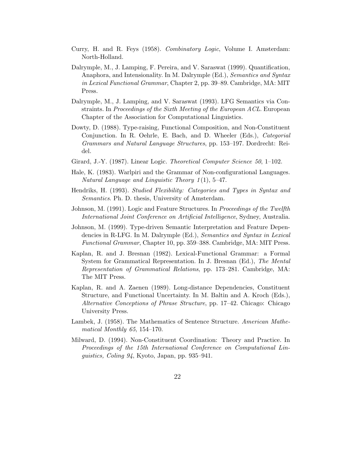- Curry, H. and R. Feys (1958). Combinatory Logic, Volume I. Amsterdam: North-Holland.
- Dalrymple, M., J. Lamping, F. Pereira, and V. Saraswat (1999). Quantification, Anaphora, and Intensionality. In M. Dalrymple (Ed.), Semantics and Syntax in Lexical Functional Grammar, Chapter 2, pp. 39–89. Cambridge, MA: MIT Press.
- Dalrymple, M., J. Lamping, and V. Saraswat (1993). LFG Semantics via Constraints. In Proceedings of the Sixth Meeting of the European ACL. European Chapter of the Association for Computational Linguistics.
- Dowty, D. (1988). Type-raising, Functional Composition, and Non-Constituent Conjunction. In R. Oehrle, E. Bach, and D. Wheeler (Eds.), Categorial Grammars and Natural Language Structures, pp. 153–197. Dordrecht: Reidel.
- Girard, J.-Y. (1987). Linear Logic. *Theoretical Computer Science 50*, 1–102.
- Hale, K. (1983). Warlpiri and the Grammar of Non-configurational Languages. Natural Language and Linguistic Theory  $1(1)$ , 5-47.
- Hendriks, H. (1993). Studied Flexibility: Categories and Types in Syntax and Semantics. Ph. D. thesis, University of Amsterdam.
- Johnson, M. (1991). Logic and Feature Structures. In Proceedings of the Twelfth International Joint Conference on Artificial Intelligence, Sydney, Australia.
- Johnson, M. (1999). Type-driven Semantic Interpretation and Feature Dependencies in R-LFG. In M. Dalrymple (Ed.), Semantics and Syntax in Lexical Functional Grammar, Chapter 10, pp. 359–388. Cambridge, MA: MIT Press.
- Kaplan, R. and J. Bresnan (1982). Lexical-Functional Grammar: a Formal System for Grammatical Representation. In J. Bresnan (Ed.), The Mental Representation of Grammatical Relations, pp. 173–281. Cambridge, MA: The MIT Press.
- Kaplan, R. and A. Zaenen (1989). Long-distance Dependencies, Constituent Structure, and Functional Uncertainty. In M. Baltin and A. Kroch (Eds.), Alternative Conceptions of Phrase Structure, pp. 17–42. Chicago: Chicago University Press.
- Lambek, J. (1958). The Mathematics of Sentence Structure. American Mathematical Monthly 65, 154–170.
- Milward, D. (1994). Non-Constituent Coordination: Theory and Practice. In Proceedings of the 15th International Conference on Computational Linguistics, Coling 94, Kyoto, Japan, pp. 935–941.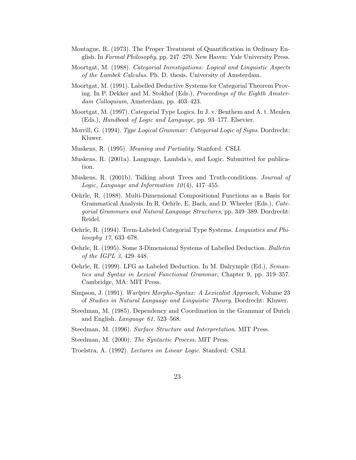- Montague, R. (1973). The Proper Treatment of Quantification in Ordinary English. In Formal Philosophy, pp. 247–270. New Haven: Yale University Press.
- Moortgat, M. (1988). Categorial Investigations: Logical and Linguistic Aspects of the Lambek Calculus. Ph. D. thesis, University of Amsterdam.
- Moortgat, M. (1991). Labelled Deductive Systems for Categorial Theorem Proving. In P. Dekker and M. Stokhof (Eds.), Proceedings of the Eighth Amsterdam Colloquium, Amsterdam, pp. 403–423.
- Moortgat, M. (1997). Categorial Type Logics. In J. v. Benthem and A. t. Meulen (Eds.), Handbook of Logic and Language, pp. 93–177. Elsevier.
- Morrill, G. (1994). Type Logical Grammar: Categorial Logic of Signs. Dordrecht: Kluwer.
- Muskens, R. (1995). Meaning and Partiality. Stanford: CSLI.
- Muskens, R. (2001a). Language, Lambda's, and Logic. Submitted for publication.
- Muskens, R. (2001b). Talking about Trees and Truth-conditions. Journal of Logic, Language and Information  $10(4)$ , 417-455.
- Oehrle, R. (1988). Multi-Dimensional Compositional Functions as a Basis for Grammatical Analysis. In R. Oehrle, E. Bach, and D. Wheeler (Eds.), Categorial Grammars and Natural Language Structures, pp. 349–389. Dordrecht: Reidel.
- Oehrle, R. (1994). Term-Labeled Categorial Type Systems. Linguistics and Philosophy 17, 633–678.
- Oehrle, R. (1995). Some 3-Dimensional Systems of Labelled Deduction. Bulletin of the IGPL 3, 429–448.
- Oehrle, R. (1999). LFG as Labeled Deduction. In M. Dalrymple (Ed.), Semantics and Syntax in Lexical Functional Grammar, Chapter 9, pp. 319–357. Cambridge, MA: MIT Press.
- Simpson, J. (1991). Warlpiri Morpho-Syntax: A Lexicalist Approach, Volume 23 of Studies in Natural Language and Linguistic Theory. Dordrecht: Kluwer.
- Steedman, M. (1985). Dependency and Coordination in the Grammar of Dutch and English. *Language*  $61$ , 523–568.
- Steedman, M. (1996). Surface Structure and Interpretation. MIT Press.
- Steedman, M. (2000). The Syntactic Process. MIT Press.
- Troelstra, A. (1992). Lectures on Linear Logic. Stanford: CSLI.